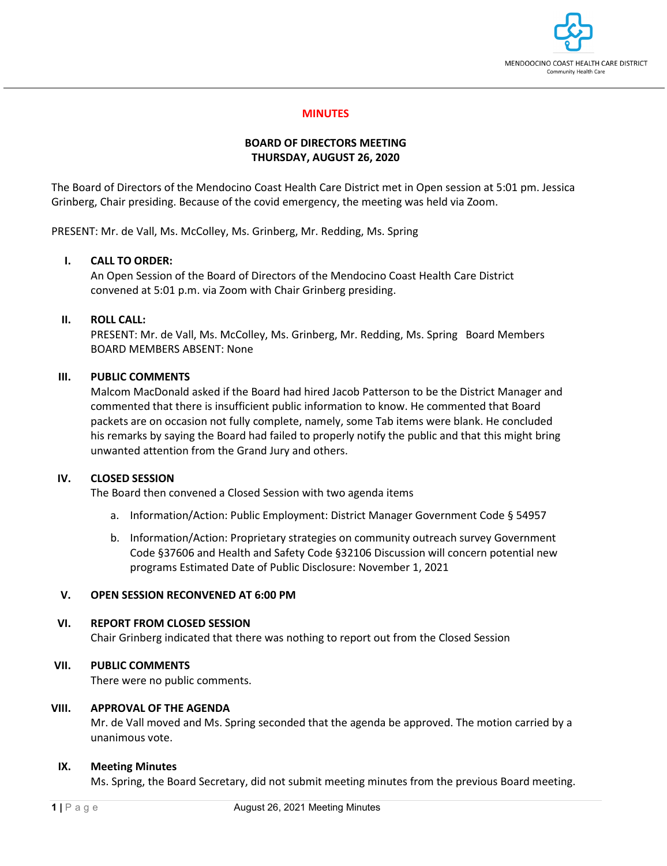

### **MINUTES**

### **BOARD OF DIRECTORS MEETING THURSDAY, AUGUST 26, 2020**

The Board of Directors of the Mendocino Coast Health Care District met in Open session at 5:01 pm. Jessica Grinberg, Chair presiding. Because of the covid emergency, the meeting was held via Zoom.

PRESENT: Mr. de Vall, Ms. McColley, Ms. Grinberg, Mr. Redding, Ms. Spring

### **I. CALL TO ORDER:**

An Open Session of the Board of Directors of the Mendocino Coast Health Care District convened at 5:01 p.m. via Zoom with Chair Grinberg presiding.

### **II. ROLL CALL:**

PRESENT: Mr. de Vall, Ms. McColley, Ms. Grinberg, Mr. Redding, Ms. Spring Board Members BOARD MEMBERS ABSENT: None

### **III. PUBLIC COMMENTS**

Malcom MacDonald asked if the Board had hired Jacob Patterson to be the District Manager and commented that there is insufficient public information to know. He commented that Board packets are on occasion not fully complete, namely, some Tab items were blank. He concluded his remarks by saying the Board had failed to properly notify the public and that this might bring unwanted attention from the Grand Jury and others.

### **IV. CLOSED SESSION**

The Board then convened a Closed Session with two agenda items

- a. Information/Action: Public Employment: District Manager Government Code § 54957
- b. Information/Action: Proprietary strategies on community outreach survey Government Code §37606 and Health and Safety Code §32106 Discussion will concern potential new programs Estimated Date of Public Disclosure: November 1, 2021

## **V. OPEN SESSION RECONVENED AT 6:00 PM**

### **VI. REPORT FROM CLOSED SESSION**

Chair Grinberg indicated that there was nothing to report out from the Closed Session

### **VII. PUBLIC COMMENTS**

There were no public comments.

## **VIII. APPROVAL OF THE AGENDA**

Mr. de Vall moved and Ms. Spring seconded that the agenda be approved. The motion carried by a unanimous vote.

### **IX. Meeting Minutes**

Ms. Spring, the Board Secretary, did not submit meeting minutes from the previous Board meeting.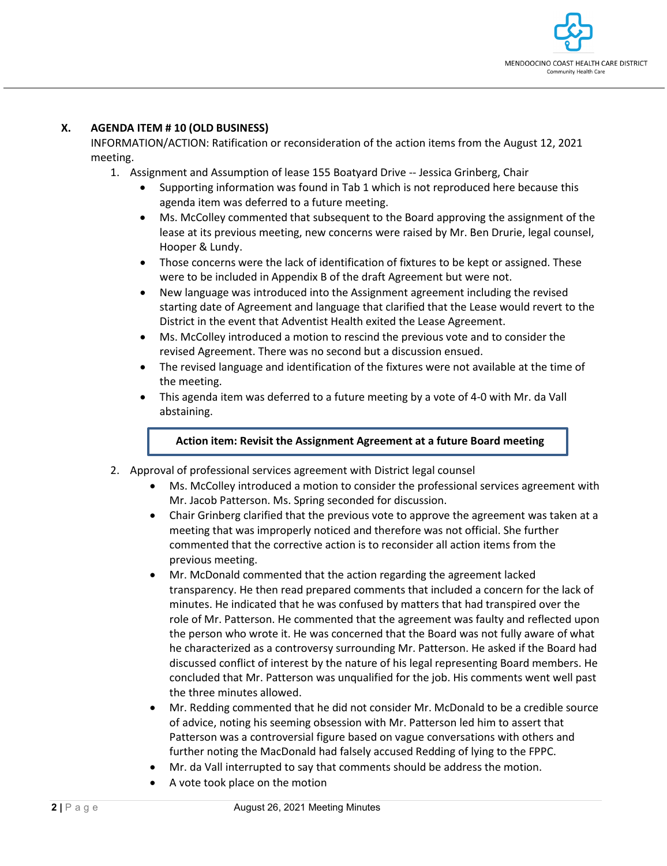

## **X. AGENDA ITEM # 10 (OLD BUSINESS)**

INFORMATION/ACTION: Ratification or reconsideration of the action items from the August 12, 2021 meeting.

- 1. Assignment and Assumption of lease 155 Boatyard Drive -- Jessica Grinberg, Chair
	- Supporting information was found in Tab 1 which is not reproduced here because this agenda item was deferred to a future meeting.
	- Ms. McColley commented that subsequent to the Board approving the assignment of the lease at its previous meeting, new concerns were raised by Mr. Ben Drurie, legal counsel, Hooper & Lundy.
	- Those concerns were the lack of identification of fixtures to be kept or assigned. These were to be included in Appendix B of the draft Agreement but were not.
	- New language was introduced into the Assignment agreement including the revised starting date of Agreement and language that clarified that the Lease would revert to the District in the event that Adventist Health exited the Lease Agreement.
	- Ms. McColley introduced a motion to rescind the previous vote and to consider the revised Agreement. There was no second but a discussion ensued.
	- The revised language and identification of the fixtures were not available at the time of the meeting.
	- This agenda item was deferred to a future meeting by a vote of 4-0 with Mr. da Vall abstaining.

### **Action item: Revisit the Assignment Agreement at a future Board meeting**

- 2. Approval of professional services agreement with District legal counsel
	- Ms. McColley introduced a motion to consider the professional services agreement with Mr. Jacob Patterson. Ms. Spring seconded for discussion.
	- Chair Grinberg clarified that the previous vote to approve the agreement was taken at a meeting that was improperly noticed and therefore was not official. She further commented that the corrective action is to reconsider all action items from the previous meeting.
	- Mr. McDonald commented that the action regarding the agreement lacked transparency. He then read prepared comments that included a concern for the lack of minutes. He indicated that he was confused by matters that had transpired over the role of Mr. Patterson. He commented that the agreement was faulty and reflected upon the person who wrote it. He was concerned that the Board was not fully aware of what he characterized as a controversy surrounding Mr. Patterson. He asked if the Board had discussed conflict of interest by the nature of his legal representing Board members. He concluded that Mr. Patterson was unqualified for the job. His comments went well past the three minutes allowed.
	- Mr. Redding commented that he did not consider Mr. McDonald to be a credible source of advice, noting his seeming obsession with Mr. Patterson led him to assert that Patterson was a controversial figure based on vague conversations with others and further noting the MacDonald had falsely accused Redding of lying to the FPPC.
	- Mr. da Vall interrupted to say that comments should be address the motion.
	- A vote took place on the motion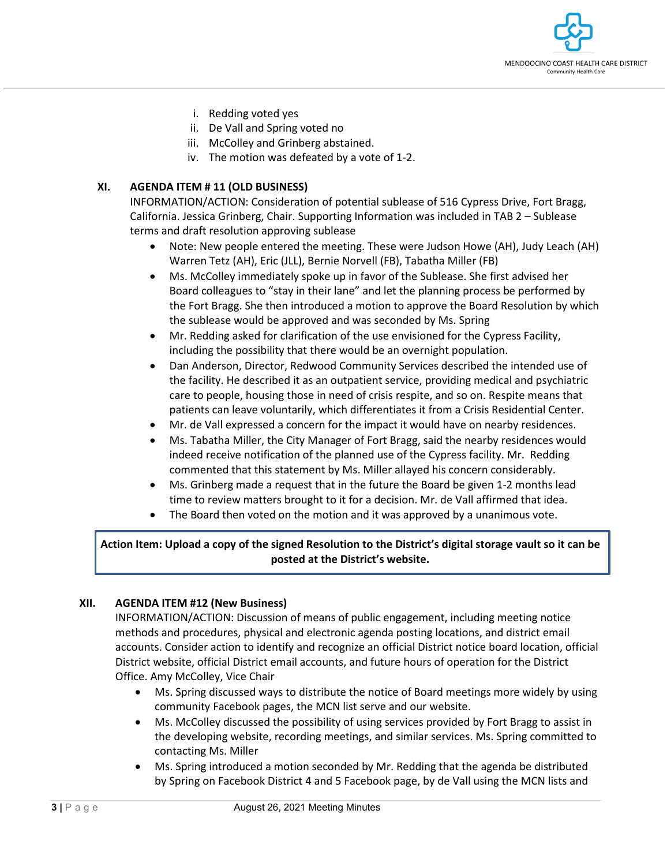

- i. Redding voted yes
- ii. De Vall and Spring voted no
- iii. McColley and Grinberg abstained.
- iv. The motion was defeated by a vote of 1-2.

## **XI. AGENDA ITEM # 11 (OLD BUSINESS)**

INFORMATION/ACTION: Consideration of potential sublease of 516 Cypress Drive, Fort Bragg, California. Jessica Grinberg, Chair. Supporting Information was included in TAB 2 – Sublease terms and draft resolution approving sublease

- Note: New people entered the meeting. These were Judson Howe (AH), Judy Leach (AH) Warren Tetz (AH), Eric (JLL), Bernie Norvell (FB), Tabatha Miller (FB)
- Ms. McColley immediately spoke up in favor of the Sublease. She first advised her Board colleagues to "stay in their lane" and let the planning process be performed by the Fort Bragg. She then introduced a motion to approve the Board Resolution by which the sublease would be approved and was seconded by Ms. Spring
- Mr. Redding asked for clarification of the use envisioned for the Cypress Facility, including the possibility that there would be an overnight population.
- Dan Anderson, Director, Redwood Community Services described the intended use of the facility. He described it as an outpatient service, providing medical and psychiatric care to people, housing those in need of crisis respite, and so on. Respite means that patients can leave voluntarily, which differentiates it from a Crisis Residential Center.
- Mr. de Vall expressed a concern for the impact it would have on nearby residences.
- Ms. Tabatha Miller, the City Manager of Fort Bragg, said the nearby residences would indeed receive notification of the planned use of the Cypress facility. Mr. Redding commented that this statement by Ms. Miller allayed his concern considerably.
- Ms. Grinberg made a request that in the future the Board be given 1-2 months lead time to review matters brought to it for a decision. Mr. de Vall affirmed that idea.
- The Board then voted on the motion and it was approved by a unanimous vote.

## **Action Item: Upload a copy of the signed Resolution to the District's digital storage vault so it can be posted at the District's website.**

## **XII. AGENDA ITEM #12 (New Business)**

INFORMATION/ACTION: Discussion of means of public engagement, including meeting notice methods and procedures, physical and electronic agenda posting locations, and district email accounts. Consider action to identify and recognize an official District notice board location, official District website, official District email accounts, and future hours of operation for the District Office. Amy McColley, Vice Chair

- Ms. Spring discussed ways to distribute the notice of Board meetings more widely by using community Facebook pages, the MCN list serve and our website.
- Ms. McColley discussed the possibility of using services provided by Fort Bragg to assist in the developing website, recording meetings, and similar services. Ms. Spring committed to contacting Ms. Miller
- Ms. Spring introduced a motion seconded by Mr. Redding that the agenda be distributed by Spring on Facebook District 4 and 5 Facebook page, by de Vall using the MCN lists and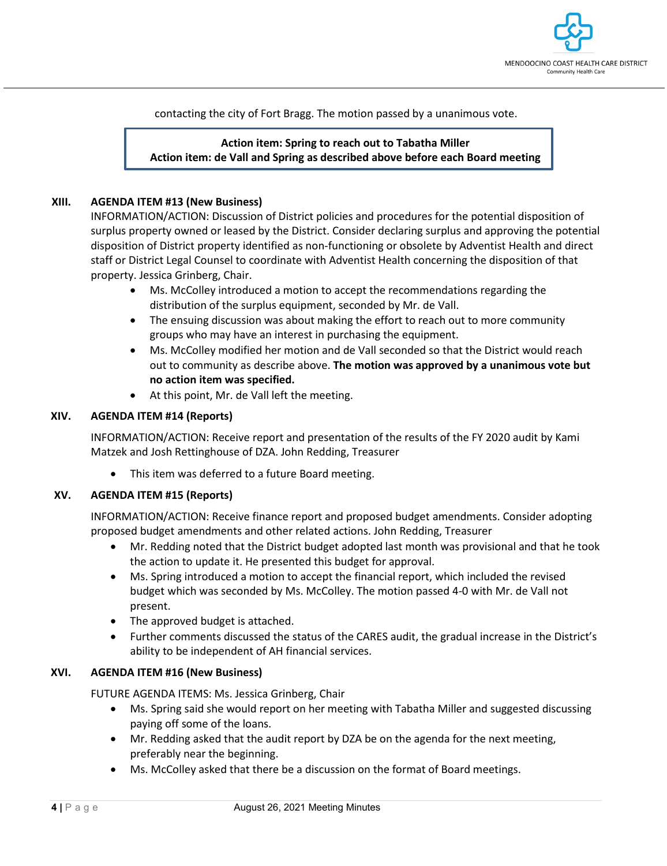

contacting the city of Fort Bragg. The motion passed by a unanimous vote.

# **Action item: Spring to reach out to Tabatha Miller Action item: de Vall and Spring as described above before each Board meeting**

### **XIII. AGENDA ITEM #13 (New Business)**

INFORMATION/ACTION: Discussion of District policies and procedures for the potential disposition of surplus property owned or leased by the District. Consider declaring surplus and approving the potential disposition of District property identified as non-functioning or obsolete by Adventist Health and direct staff or District Legal Counsel to coordinate with Adventist Health concerning the disposition of that property. Jessica Grinberg, Chair.

- Ms. McColley introduced a motion to accept the recommendations regarding the distribution of the surplus equipment, seconded by Mr. de Vall.
- The ensuing discussion was about making the effort to reach out to more community groups who may have an interest in purchasing the equipment.
- Ms. McColley modified her motion and de Vall seconded so that the District would reach out to community as describe above. **The motion was approved by a unanimous vote but no action item was specified.**
- At this point, Mr. de Vall left the meeting.

### **XIV. AGENDA ITEM #14 (Reports)**

INFORMATION/ACTION: Receive report and presentation of the results of the FY 2020 audit by Kami Matzek and Josh Rettinghouse of DZA. John Redding, Treasurer

• This item was deferred to a future Board meeting.

### **XV. AGENDA ITEM #15 (Reports)**

INFORMATION/ACTION: Receive finance report and proposed budget amendments. Consider adopting proposed budget amendments and other related actions. John Redding, Treasurer

- Mr. Redding noted that the District budget adopted last month was provisional and that he took the action to update it. He presented this budget for approval.
- Ms. Spring introduced a motion to accept the financial report, which included the revised budget which was seconded by Ms. McColley. The motion passed 4-0 with Mr. de Vall not present.
- The approved budget is attached.
- Further comments discussed the status of the CARES audit, the gradual increase in the District's ability to be independent of AH financial services.

### **XVI. AGENDA ITEM #16 (New Business)**

FUTURE AGENDA ITEMS: Ms. Jessica Grinberg, Chair

- Ms. Spring said she would report on her meeting with Tabatha Miller and suggested discussing paying off some of the loans.
- Mr. Redding asked that the audit report by DZA be on the agenda for the next meeting, preferably near the beginning.
- Ms. McColley asked that there be a discussion on the format of Board meetings.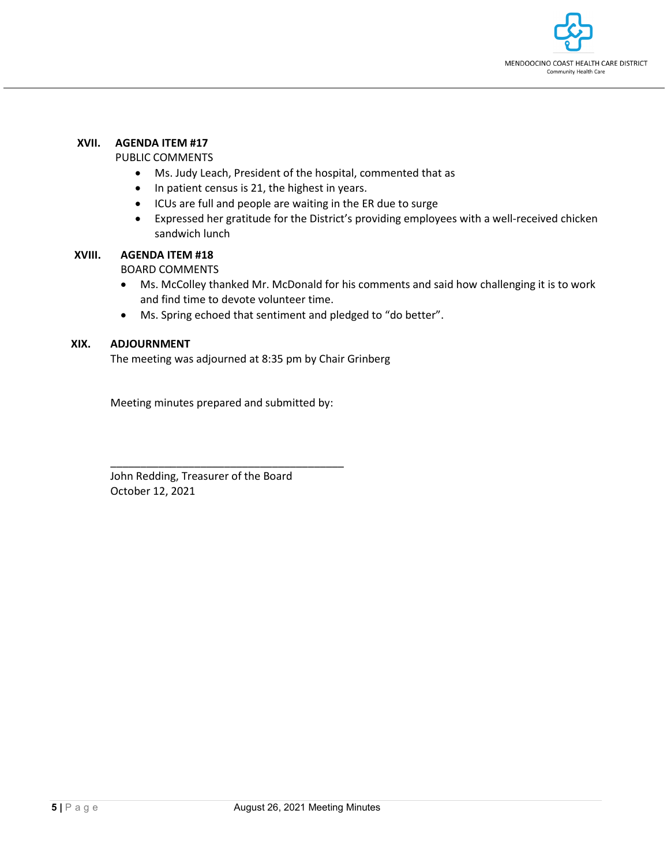

### **XVII. AGENDA ITEM #17**

### PUBLIC COMMENTS

- Ms. Judy Leach, President of the hospital, commented that as
- In patient census is 21, the highest in years.
- ICUs are full and people are waiting in the ER due to surge
- Expressed her gratitude for the District's providing employees with a well-received chicken sandwich lunch

### **XVIII. AGENDA ITEM #18**

BOARD COMMENTS

- Ms. McColley thanked Mr. McDonald for his comments and said how challenging it is to work and find time to devote volunteer time.
- Ms. Spring echoed that sentiment and pledged to "do better".

### **XIX. ADJOURNMENT**

The meeting was adjourned at 8:35 pm by Chair Grinberg

Meeting minutes prepared and submitted by:

\_\_\_\_\_\_\_\_\_\_\_\_\_\_\_\_\_\_\_\_\_\_\_\_\_\_\_\_\_\_\_\_\_\_\_\_\_\_\_

John Redding, Treasurer of the Board October 12, 2021